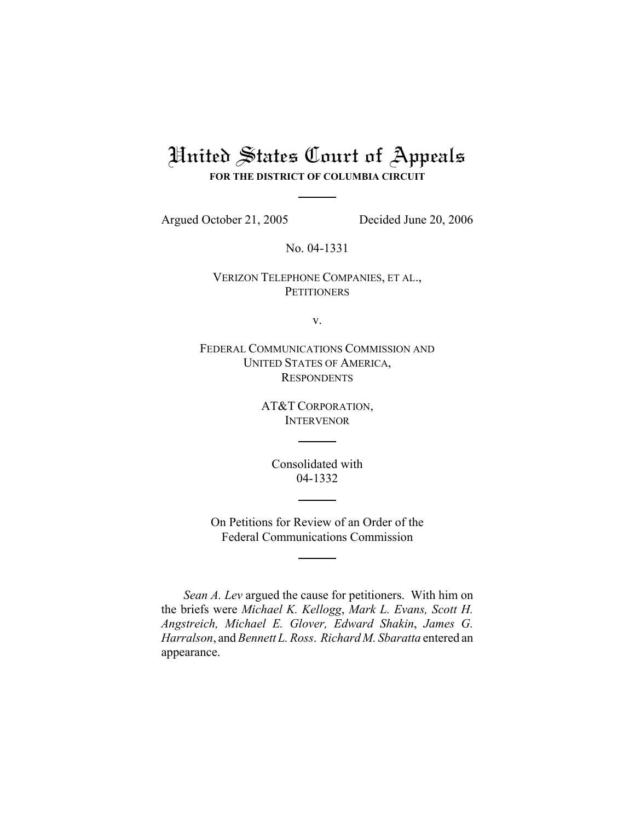# United States Court of Appeals **FOR THE DISTRICT OF COLUMBIA CIRCUIT**

Argued October 21, 2005 Decided June 20, 2006

No. 04-1331

# VERIZON TELEPHONE COMPANIES, ET AL., **PETITIONERS**

v.

FEDERAL COMMUNICATIONS COMMISSION AND UNITED STATES OF AMERICA, **RESPONDENTS** 

> AT&T CORPORATION, INTERVENOR

Consolidated with 04-1332

On Petitions for Review of an Order of the Federal Communications Commission

*Sean A. Lev* argued the cause for petitioners. With him on the briefs were *Michael K. Kellogg*, *Mark L. Evans, Scott H. Angstreich, Michael E. Glover, Edward Shakin*, *James G. Harralson*, and *Bennett L. Ross*. *Richard M. Sbaratta* entered an appearance.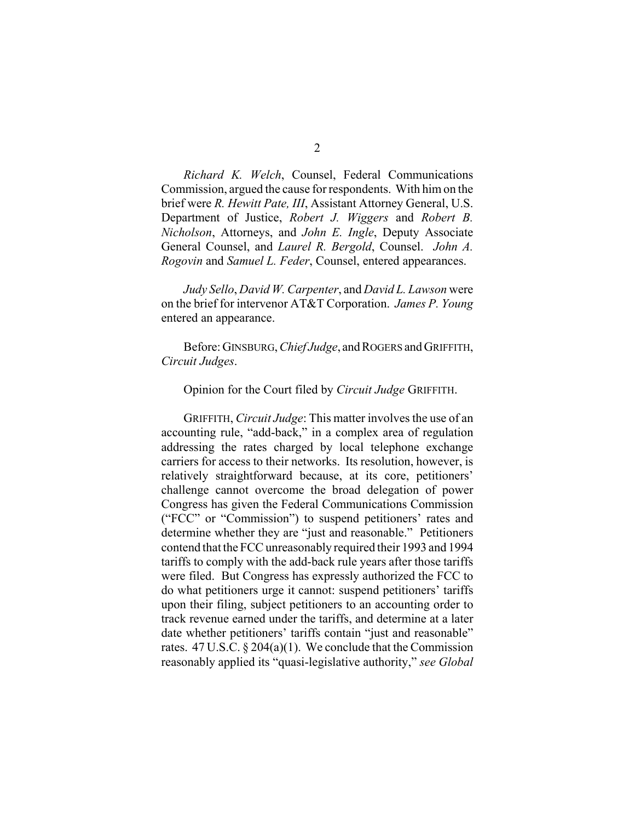*Richard K. Welch*, Counsel, Federal Communications Commission, argued the cause for respondents. With him on the brief were *R. Hewitt Pate, III*, Assistant Attorney General, U.S. Department of Justice, *Robert J. Wiggers* and *Robert B. Nicholson*, Attorneys, and *John E. Ingle*, Deputy Associate General Counsel, and *Laurel R. Bergold*, Counsel. *John A. Rogovin* and *Samuel L. Feder*, Counsel, entered appearances.

*Judy Sello*, *David W. Carpenter*, and *David L. Lawson* were on the brief for intervenor AT&T Corporation. *James P. Young* entered an appearance.

Before: GINSBURG, *Chief Judge*, and ROGERS and GRIFFITH, *Circuit Judges*.

#### Opinion for the Court filed by *Circuit Judge* GRIFFITH.

GRIFFITH, *Circuit Judge*: This matter involves the use of an accounting rule, "add-back," in a complex area of regulation addressing the rates charged by local telephone exchange carriers for access to their networks. Its resolution, however, is relatively straightforward because, at its core, petitioners' challenge cannot overcome the broad delegation of power Congress has given the Federal Communications Commission ("FCC" or "Commission") to suspend petitioners' rates and determine whether they are "just and reasonable." Petitioners contend that the FCC unreasonably required their 1993 and 1994 tariffs to comply with the add-back rule years after those tariffs were filed. But Congress has expressly authorized the FCC to do what petitioners urge it cannot: suspend petitioners' tariffs upon their filing, subject petitioners to an accounting order to track revenue earned under the tariffs, and determine at a later date whether petitioners' tariffs contain "just and reasonable" rates.  $47 \text{ U.S.C.} \$   $204(a)(1)$ . We conclude that the Commission reasonably applied its "quasi-legislative authority," *see Global*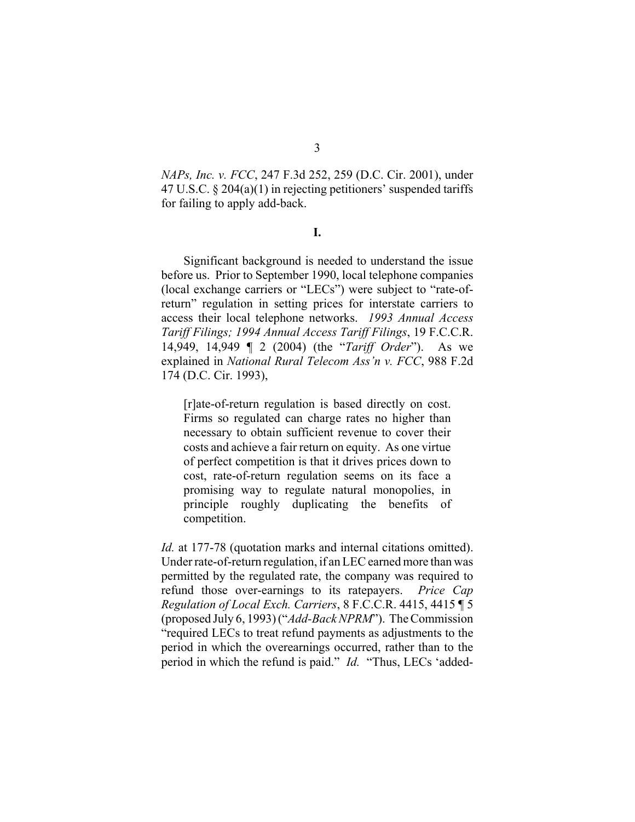*NAPs, Inc. v. FCC*, 247 F.3d 252, 259 (D.C. Cir. 2001), under 47 U.S.C. § 204(a)(1) in rejecting petitioners' suspended tariffs for failing to apply add-back.

#### **I.**

Significant background is needed to understand the issue before us. Prior to September 1990, local telephone companies (local exchange carriers or "LECs") were subject to "rate-ofreturn" regulation in setting prices for interstate carriers to access their local telephone networks. *1993 Annual Access Tariff Filings; 1994 Annual Access Tariff Filings*, 19 F.C.C.R. 14,949, 14,949 ¶ 2 (2004) (the "*Tariff Order*"). As we explained in *National Rural Telecom Ass'n v. FCC*, 988 F.2d 174 (D.C. Cir. 1993),

[r]ate-of-return regulation is based directly on cost. Firms so regulated can charge rates no higher than necessary to obtain sufficient revenue to cover their costs and achieve a fair return on equity. As one virtue of perfect competition is that it drives prices down to cost, rate-of-return regulation seems on its face a promising way to regulate natural monopolies, in principle roughly duplicating the benefits of competition.

*Id.* at 177-78 (quotation marks and internal citations omitted). Under rate-of-return regulation, if an LEC earned more than was permitted by the regulated rate, the company was required to refund those over-earnings to its ratepayers. *Price Cap Regulation of Local Exch. Carriers*, 8 F.C.C.R. 4415, 4415 ¶ 5 (proposed July 6, 1993) ("*Add-Back NPRM*"). The Commission "required LECs to treat refund payments as adjustments to the period in which the overearnings occurred, rather than to the period in which the refund is paid." *Id.* "Thus, LECs 'added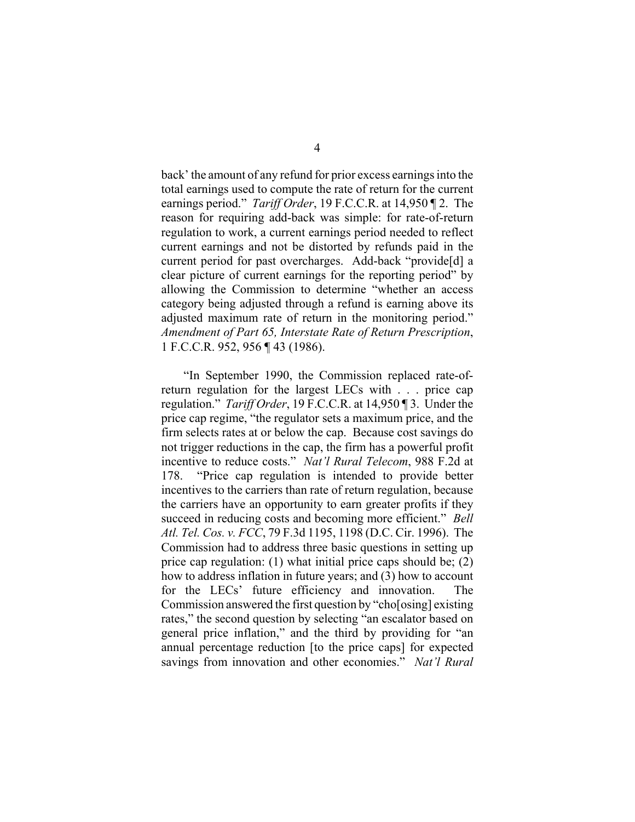back' the amount of any refund for prior excess earnings into the total earnings used to compute the rate of return for the current earnings period." *Tariff Order*, 19 F.C.C.R. at 14,950 ¶ 2. The reason for requiring add-back was simple: for rate-of-return regulation to work, a current earnings period needed to reflect current earnings and not be distorted by refunds paid in the current period for past overcharges. Add-back "provide[d] a clear picture of current earnings for the reporting period" by allowing the Commission to determine "whether an access category being adjusted through a refund is earning above its adjusted maximum rate of return in the monitoring period." *Amendment of Part 65, Interstate Rate of Return Prescription*, 1 F.C.C.R. 952, 956 ¶ 43 (1986).

"In September 1990, the Commission replaced rate-ofreturn regulation for the largest LECs with . . . price cap regulation." *Tariff Order*, 19 F.C.C.R. at 14,950 ¶ 3. Under the price cap regime, "the regulator sets a maximum price, and the firm selects rates at or below the cap. Because cost savings do not trigger reductions in the cap, the firm has a powerful profit incentive to reduce costs." *Nat'l Rural Telecom*, 988 F.2d at 178. "Price cap regulation is intended to provide better incentives to the carriers than rate of return regulation, because the carriers have an opportunity to earn greater profits if they succeed in reducing costs and becoming more efficient." *Bell Atl. Tel. Cos. v. FCC*, 79 F.3d 1195, 1198 (D.C. Cir. 1996). The Commission had to address three basic questions in setting up price cap regulation: (1) what initial price caps should be; (2) how to address inflation in future years; and (3) how to account for the LECs' future efficiency and innovation. The Commission answered the first question by "cho[osing] existing rates," the second question by selecting "an escalator based on general price inflation," and the third by providing for "an annual percentage reduction [to the price caps] for expected savings from innovation and other economies." *Nat'l Rural*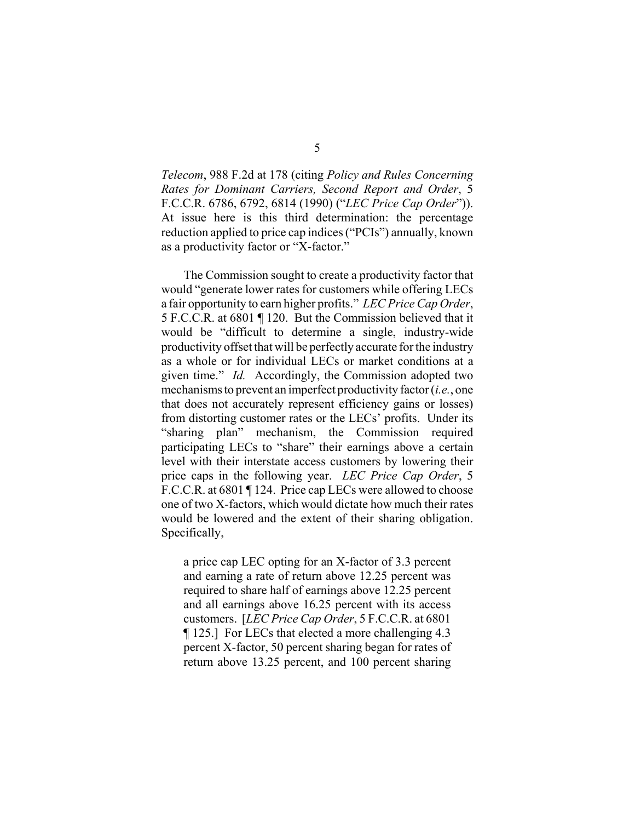*Telecom*, 988 F.2d at 178 (citing *Policy and Rules Concerning Rates for Dominant Carriers, Second Report and Order*, 5 F.C.C.R. 6786, 6792, 6814 (1990) ("*LEC Price Cap Order*")). At issue here is this third determination: the percentage reduction applied to price cap indices ("PCIs") annually, known as a productivity factor or "X-factor."

The Commission sought to create a productivity factor that would "generate lower rates for customers while offering LECs a fair opportunity to earn higher profits." *LEC Price Cap Order*, 5 F.C.C.R. at 6801 ¶ 120. But the Commission believed that it would be "difficult to determine a single, industry-wide productivity offset that will be perfectly accurate for the industry as a whole or for individual LECs or market conditions at a given time." *Id.* Accordingly, the Commission adopted two mechanisms to prevent an imperfect productivity factor (*i.e.*, one that does not accurately represent efficiency gains or losses) from distorting customer rates or the LECs' profits. Under its "sharing plan" mechanism, the Commission required participating LECs to "share" their earnings above a certain level with their interstate access customers by lowering their price caps in the following year. *LEC Price Cap Order*, 5 F.C.C.R. at 6801 ¶ 124. Price cap LECs were allowed to choose one of two X-factors, which would dictate how much their rates would be lowered and the extent of their sharing obligation. Specifically,

a price cap LEC opting for an X-factor of 3.3 percent and earning a rate of return above 12.25 percent was required to share half of earnings above 12.25 percent and all earnings above 16.25 percent with its access customers. [*LEC Price Cap Order*, 5 F.C.C.R. at 6801 ¶ 125.] For LECs that elected a more challenging 4.3 percent X-factor, 50 percent sharing began for rates of return above 13.25 percent, and 100 percent sharing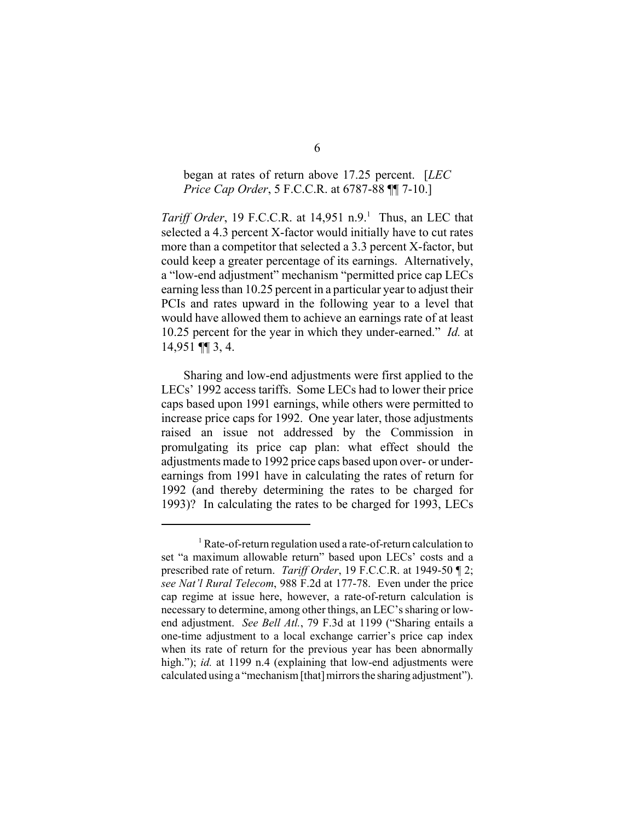# began at rates of return above 17.25 percent. [*LEC Price Cap Order*, 5 F.C.C.R. at 6787-88 ¶¶ 7-10.]

*Tariff Order*, 19 F.C.C.R. at 14,951 n.9.<sup>1</sup> Thus, an LEC that selected a 4.3 percent X-factor would initially have to cut rates more than a competitor that selected a 3.3 percent X-factor, but could keep a greater percentage of its earnings. Alternatively, a "low-end adjustment" mechanism "permitted price cap LECs earning less than 10.25 percent in a particular year to adjust their PCIs and rates upward in the following year to a level that would have allowed them to achieve an earnings rate of at least 10.25 percent for the year in which they under-earned." *Id.* at 14,951 ¶¶ 3, 4.

Sharing and low-end adjustments were first applied to the LECs' 1992 access tariffs. Some LECs had to lower their price caps based upon 1991 earnings, while others were permitted to increase price caps for 1992. One year later, those adjustments raised an issue not addressed by the Commission in promulgating its price cap plan: what effect should the adjustments made to 1992 price caps based upon over- or underearnings from 1991 have in calculating the rates of return for 1992 (and thereby determining the rates to be charged for 1993)? In calculating the rates to be charged for 1993, LECs

<sup>&</sup>lt;sup>1</sup> Rate-of-return regulation used a rate-of-return calculation to set "a maximum allowable return" based upon LECs' costs and a prescribed rate of return. *Tariff Order*, 19 F.C.C.R. at 1949-50 ¶ 2; *see Nat'l Rural Telecom*, 988 F.2d at 177-78. Even under the price cap regime at issue here, however, a rate-of-return calculation is necessary to determine, among other things, an LEC's sharing or lowend adjustment. *See Bell Atl.*, 79 F.3d at 1199 ("Sharing entails a one-time adjustment to a local exchange carrier's price cap index when its rate of return for the previous year has been abnormally high."); *id.* at 1199 n.4 (explaining that low-end adjustments were calculated using a "mechanism [that] mirrors the sharing adjustment").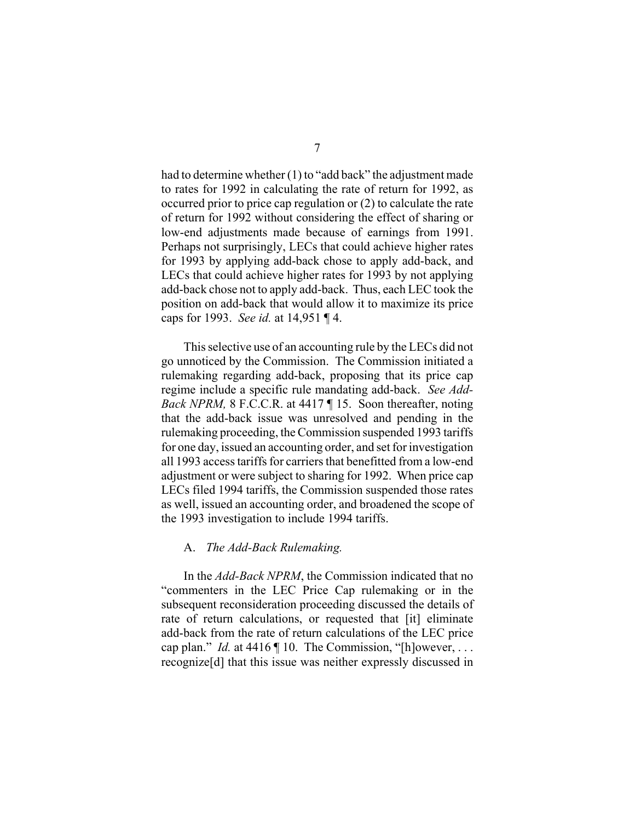had to determine whether (1) to "add back" the adjustment made to rates for 1992 in calculating the rate of return for 1992, as occurred prior to price cap regulation or (2) to calculate the rate of return for 1992 without considering the effect of sharing or low-end adjustments made because of earnings from 1991. Perhaps not surprisingly, LECs that could achieve higher rates for 1993 by applying add-back chose to apply add-back, and LECs that could achieve higher rates for 1993 by not applying add-back chose not to apply add-back. Thus, each LEC took the position on add-back that would allow it to maximize its price caps for 1993. *See id.* at 14,951 ¶ 4.

This selective use of an accounting rule by the LECs did not go unnoticed by the Commission. The Commission initiated a rulemaking regarding add-back, proposing that its price cap regime include a specific rule mandating add-back. *See Add-Back NPRM, 8 F.C.C.R. at 4417* 15. Soon thereafter, noting that the add-back issue was unresolved and pending in the rulemaking proceeding, the Commission suspended 1993 tariffs for one day, issued an accounting order, and set for investigation all 1993 access tariffs for carriers that benefitted from a low-end adjustment or were subject to sharing for 1992. When price cap LECs filed 1994 tariffs, the Commission suspended those rates as well, issued an accounting order, and broadened the scope of the 1993 investigation to include 1994 tariffs.

## A. *The Add-Back Rulemaking.*

In the *Add-Back NPRM*, the Commission indicated that no "commenters in the LEC Price Cap rulemaking or in the subsequent reconsideration proceeding discussed the details of rate of return calculations, or requested that [it] eliminate add-back from the rate of return calculations of the LEC price cap plan." *Id.* at 4416 ¶ 10. The Commission, "[h]owever, . . . recognize[d] that this issue was neither expressly discussed in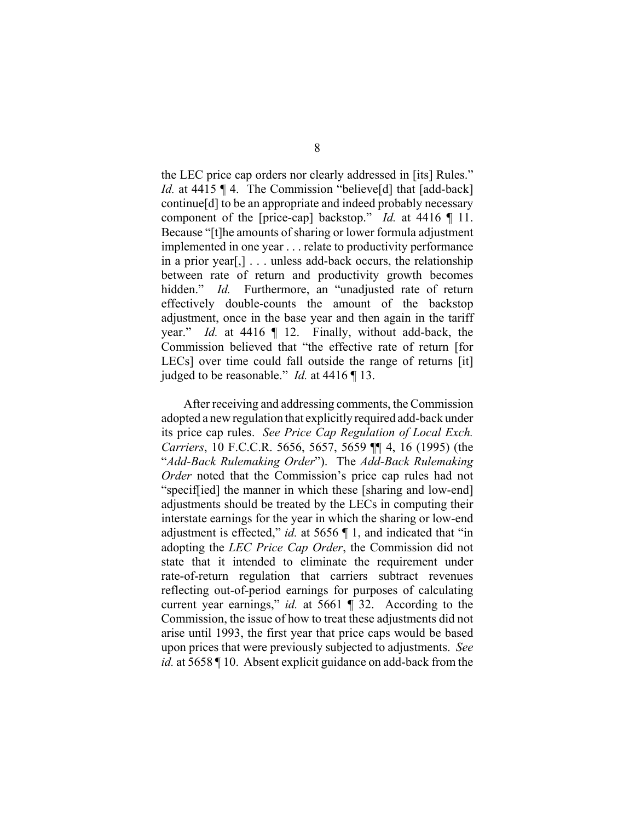the LEC price cap orders nor clearly addressed in [its] Rules." *Id.* at 4415 ¶ 4. The Commission "believe[d] that [add-back] continue[d] to be an appropriate and indeed probably necessary component of the [price-cap] backstop." *Id.* at 4416 ¶ 11. Because "[t]he amounts of sharing or lower formula adjustment implemented in one year . . . relate to productivity performance in a prior year[,] . . . unless add-back occurs, the relationship between rate of return and productivity growth becomes hidden." *Id.* Furthermore, an "unadjusted rate of return effectively double-counts the amount of the backstop adjustment, once in the base year and then again in the tariff year." *Id.* at 4416 ¶ 12. Finally, without add-back, the Commission believed that "the effective rate of return [for LECs] over time could fall outside the range of returns [it] judged to be reasonable." *Id.* at 4416 ¶ 13.

After receiving and addressing comments, the Commission adopted a new regulation that explicitly required add-back under its price cap rules. *See Price Cap Regulation of Local Exch. Carriers*, 10 F.C.C.R. 5656, 5657, 5659 ¶¶ 4, 16 (1995) (the "*Add-Back Rulemaking Order*"). The *Add-Back Rulemaking Order* noted that the Commission's price cap rules had not "specif[ied] the manner in which these [sharing and low-end] adjustments should be treated by the LECs in computing their interstate earnings for the year in which the sharing or low-end adjustment is effected," *id.* at 5656 ¶ 1, and indicated that "in adopting the *LEC Price Cap Order*, the Commission did not state that it intended to eliminate the requirement under rate-of-return regulation that carriers subtract revenues reflecting out-of-period earnings for purposes of calculating current year earnings," *id.* at 5661 ¶ 32. According to the Commission, the issue of how to treat these adjustments did not arise until 1993, the first year that price caps would be based upon prices that were previously subjected to adjustments. *See id.* at 5658 ¶ 10. Absent explicit guidance on add-back from the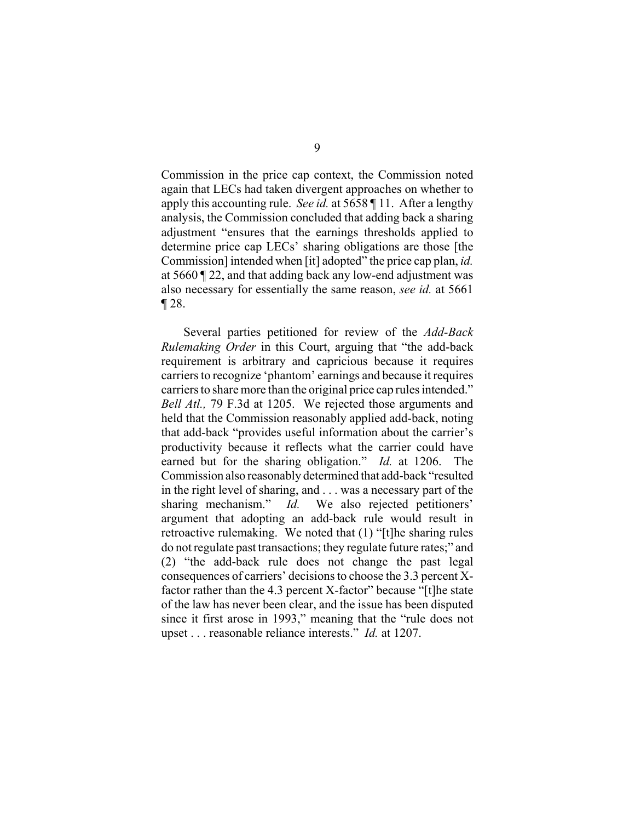Commission in the price cap context, the Commission noted again that LECs had taken divergent approaches on whether to apply this accounting rule. *See id.* at 5658 ¶ 11. After a lengthy analysis, the Commission concluded that adding back a sharing adjustment "ensures that the earnings thresholds applied to determine price cap LECs' sharing obligations are those [the Commission] intended when [it] adopted" the price cap plan, *id.* at 5660 ¶ 22, and that adding back any low-end adjustment was also necessary for essentially the same reason, *see id.* at 5661 ¶ 28.

Several parties petitioned for review of the *Add-Back Rulemaking Order* in this Court, arguing that "the add-back requirement is arbitrary and capricious because it requires carriers to recognize 'phantom' earnings and because it requires carriers to share more than the original price cap rules intended." *Bell Atl.,* 79 F.3d at 1205. We rejected those arguments and held that the Commission reasonably applied add-back, noting that add-back "provides useful information about the carrier's productivity because it reflects what the carrier could have earned but for the sharing obligation." *Id.* at 1206. The Commission also reasonably determined that add-back "resulted in the right level of sharing, and . . . was a necessary part of the sharing mechanism." *Id.* We also rejected petitioners' argument that adopting an add-back rule would result in retroactive rulemaking. We noted that (1) "[t]he sharing rules do not regulate past transactions; they regulate future rates;" and (2) "the add-back rule does not change the past legal consequences of carriers' decisions to choose the 3.3 percent Xfactor rather than the 4.3 percent X-factor" because "[t]he state of the law has never been clear, and the issue has been disputed since it first arose in 1993," meaning that the "rule does not upset . . . reasonable reliance interests." *Id.* at 1207.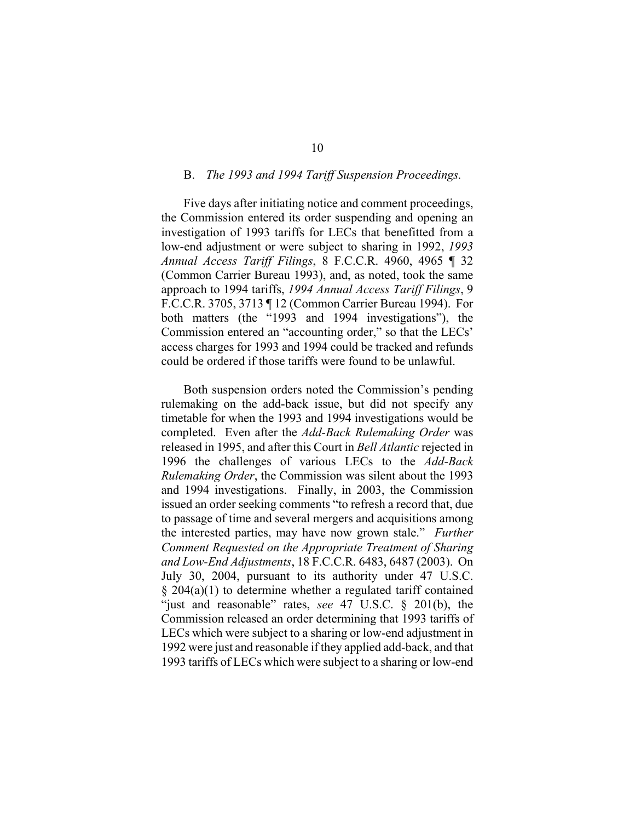#### B. *The 1993 and 1994 Tariff Suspension Proceedings.*

Five days after initiating notice and comment proceedings, the Commission entered its order suspending and opening an investigation of 1993 tariffs for LECs that benefitted from a low-end adjustment or were subject to sharing in 1992, *1993 Annual Access Tariff Filings*, 8 F.C.C.R. 4960, 4965 ¶ 32 (Common Carrier Bureau 1993), and, as noted, took the same approach to 1994 tariffs, *1994 Annual Access Tariff Filings*, 9 F.C.C.R. 3705, 3713 ¶ 12 (Common Carrier Bureau 1994). For both matters (the "1993 and 1994 investigations"), the Commission entered an "accounting order," so that the LECs' access charges for 1993 and 1994 could be tracked and refunds could be ordered if those tariffs were found to be unlawful.

Both suspension orders noted the Commission's pending rulemaking on the add-back issue, but did not specify any timetable for when the 1993 and 1994 investigations would be completed. Even after the *Add-Back Rulemaking Order* was released in 1995, and after this Court in *Bell Atlantic* rejected in 1996 the challenges of various LECs to the *Add-Back Rulemaking Order*, the Commission was silent about the 1993 and 1994 investigations. Finally, in 2003, the Commission issued an order seeking comments "to refresh a record that, due to passage of time and several mergers and acquisitions among the interested parties, may have now grown stale." *Further Comment Requested on the Appropriate Treatment of Sharing and Low-End Adjustments*, 18 F.C.C.R. 6483, 6487 (2003). On July 30, 2004, pursuant to its authority under 47 U.S.C. § 204(a)(1) to determine whether a regulated tariff contained "just and reasonable" rates, *see* 47 U.S.C. § 201(b), the Commission released an order determining that 1993 tariffs of LECs which were subject to a sharing or low-end adjustment in 1992 were just and reasonable if they applied add-back, and that 1993 tariffs of LECs which were subject to a sharing or low-end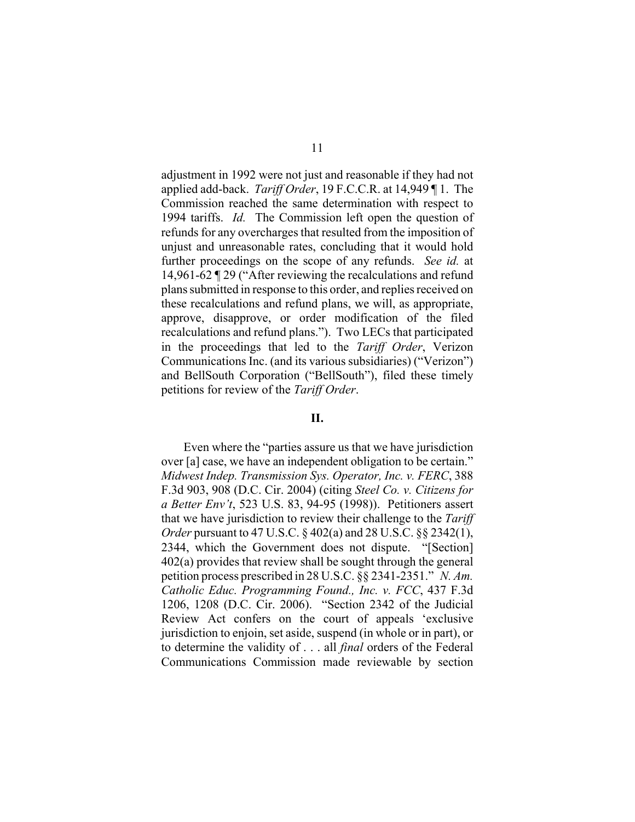adjustment in 1992 were not just and reasonable if they had not applied add-back. *Tariff Order*, 19 F.C.C.R. at 14,949 ¶ 1. The Commission reached the same determination with respect to 1994 tariffs. *Id.* The Commission left open the question of refunds for any overcharges that resulted from the imposition of unjust and unreasonable rates, concluding that it would hold further proceedings on the scope of any refunds. *See id.* at 14,961-62 ¶ 29 ("After reviewing the recalculations and refund plans submitted in response to this order, and replies received on these recalculations and refund plans, we will, as appropriate, approve, disapprove, or order modification of the filed recalculations and refund plans."). Two LECs that participated in the proceedings that led to the *Tariff Order*, Verizon Communications Inc. (and its various subsidiaries) ("Verizon") and BellSouth Corporation ("BellSouth"), filed these timely petitions for review of the *Tariff Order*.

# **II.**

Even where the "parties assure us that we have jurisdiction over [a] case, we have an independent obligation to be certain." *Midwest Indep. Transmission Sys. Operator, Inc. v. FERC*, 388 F.3d 903, 908 (D.C. Cir. 2004) (citing *Steel Co. v. Citizens for a Better Env't*, 523 U.S. 83, 94-95 (1998)). Petitioners assert that we have jurisdiction to review their challenge to the *Tariff Order* pursuant to 47 U.S.C. § 402(a) and 28 U.S.C. §§ 2342(1), 2344, which the Government does not dispute. "[Section] 402(a) provides that review shall be sought through the general petition process prescribed in 28 U.S.C. §§ 2341-2351." *N. Am. Catholic Educ. Programming Found., Inc. v. FCC*, 437 F.3d 1206, 1208 (D.C. Cir. 2006). "Section 2342 of the Judicial Review Act confers on the court of appeals 'exclusive jurisdiction to enjoin, set aside, suspend (in whole or in part), or to determine the validity of . . . all *final* orders of the Federal Communications Commission made reviewable by section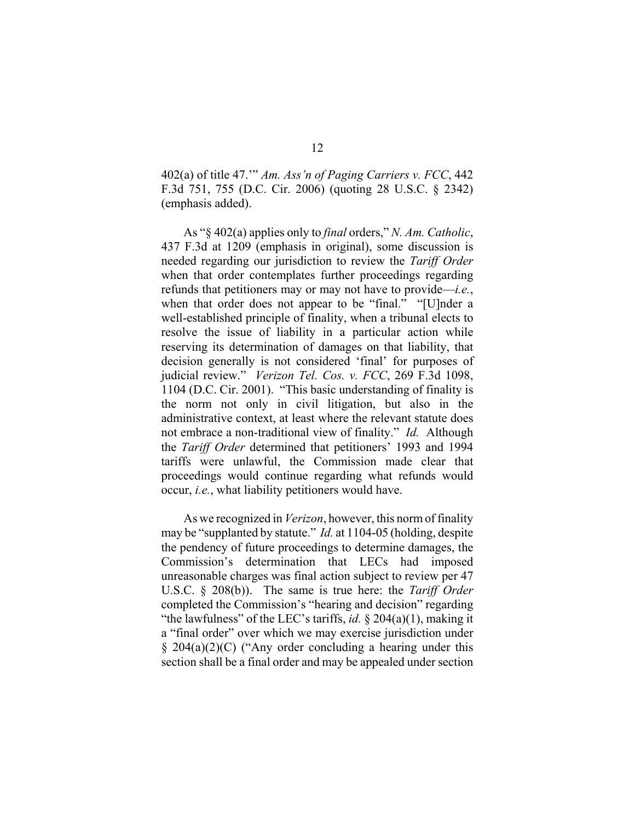402(a) of title 47.'" *Am. Ass'n of Paging Carriers v. FCC*, 442 F.3d 751, 755 (D.C. Cir. 2006) (quoting 28 U.S.C. § 2342) (emphasis added).

As "§ 402(a) applies only to *final* orders," *N. Am. Catholic*, 437 F.3d at 1209 (emphasis in original), some discussion is needed regarding our jurisdiction to review the *Tariff Order* when that order contemplates further proceedings regarding refunds that petitioners may or may not have to provide—*i.e.*, when that order does not appear to be "final." "[U]nder a well-established principle of finality, when a tribunal elects to resolve the issue of liability in a particular action while reserving its determination of damages on that liability, that decision generally is not considered 'final' for purposes of judicial review." *Verizon Tel. Cos. v. FCC*, 269 F.3d 1098, 1104 (D.C. Cir. 2001). "This basic understanding of finality is the norm not only in civil litigation, but also in the administrative context, at least where the relevant statute does not embrace a non-traditional view of finality." *Id.* Although the *Tariff Order* determined that petitioners' 1993 and 1994 tariffs were unlawful, the Commission made clear that proceedings would continue regarding what refunds would occur, *i.e.*, what liability petitioners would have.

As we recognized in *Verizon*, however, this norm of finality may be "supplanted by statute." *Id.* at 1104-05 (holding, despite the pendency of future proceedings to determine damages, the Commission's determination that LECs had imposed unreasonable charges was final action subject to review per 47 U.S.C. § 208(b)). The same is true here: the *Tariff Order* completed the Commission's "hearing and decision" regarding "the lawfulness" of the LEC's tariffs, *id.* § 204(a)(1), making it a "final order" over which we may exercise jurisdiction under  $\S$  204(a)(2)(C) ("Any order concluding a hearing under this section shall be a final order and may be appealed under section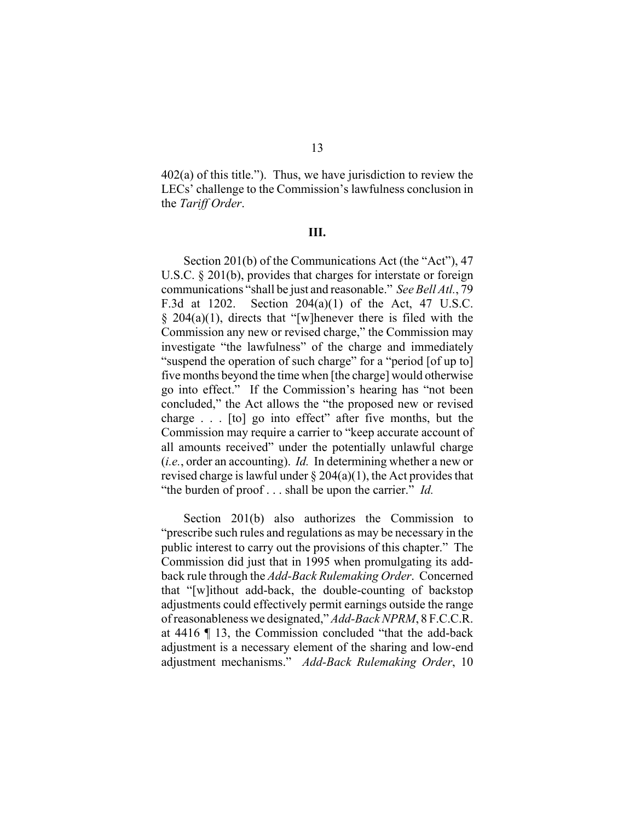$402(a)$  of this title."). Thus, we have jurisdiction to review the LECs' challenge to the Commission's lawfulness conclusion in the *Tariff Order*.

#### **III.**

Section 201(b) of the Communications Act (the "Act"), 47 U.S.C. § 201(b), provides that charges for interstate or foreign communications "shall be just and reasonable." *See Bell Atl.*, 79 F.3d at 1202. Section 204(a)(1) of the Act, 47 U.S.C.  $§$  204(a)(1), directs that "[w]henever there is filed with the Commission any new or revised charge," the Commission may investigate "the lawfulness" of the charge and immediately "suspend the operation of such charge" for a "period [of up to] five months beyond the time when [the charge] would otherwise go into effect." If the Commission's hearing has "not been concluded," the Act allows the "the proposed new or revised charge . . . [to] go into effect" after five months, but the Commission may require a carrier to "keep accurate account of all amounts received" under the potentially unlawful charge (*i.e.*, order an accounting). *Id.* In determining whether a new or revised charge is lawful under  $\S 204(a)(1)$ , the Act provides that "the burden of proof . . . shall be upon the carrier." *Id.*

Section 201(b) also authorizes the Commission to "prescribe such rules and regulations as may be necessary in the public interest to carry out the provisions of this chapter." The Commission did just that in 1995 when promulgating its addback rule through the *Add-Back Rulemaking Order*. Concerned that "[w]ithout add-back, the double-counting of backstop adjustments could effectively permit earnings outside the range of reasonableness we designated," *Add-Back NPRM*, 8 F.C.C.R. at 4416 ¶ 13, the Commission concluded "that the add-back adjustment is a necessary element of the sharing and low-end adjustment mechanisms." *Add-Back Rulemaking Order*, 10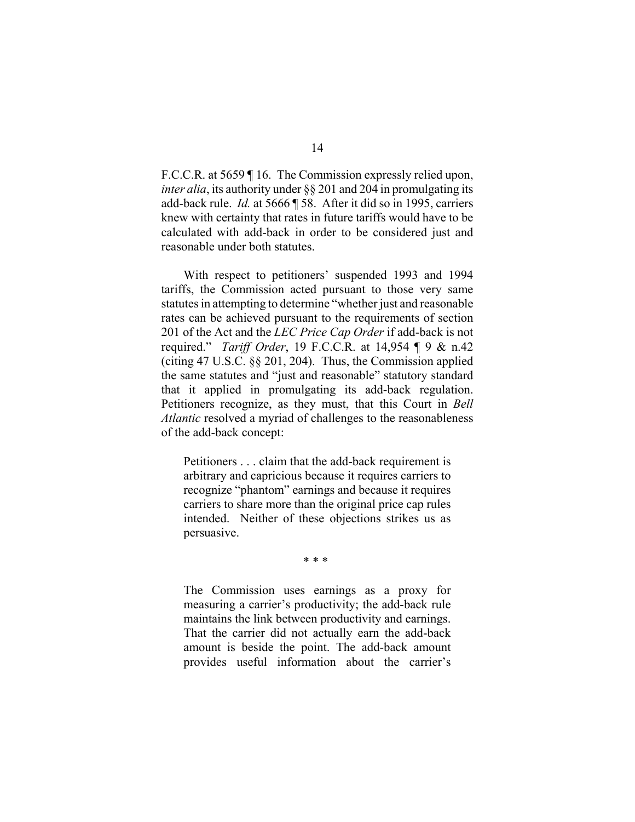F.C.C.R. at 5659 ¶ 16. The Commission expressly relied upon, *inter alia*, its authority under §§ 201 and 204 in promulgating its add-back rule. *Id.* at 5666 ¶ 58. After it did so in 1995, carriers knew with certainty that rates in future tariffs would have to be calculated with add-back in order to be considered just and reasonable under both statutes.

With respect to petitioners' suspended 1993 and 1994 tariffs, the Commission acted pursuant to those very same statutes in attempting to determine "whether just and reasonable rates can be achieved pursuant to the requirements of section 201 of the Act and the *LEC Price Cap Order* if add-back is not required." *Tariff Order*, 19 F.C.C.R. at 14,954 ¶ 9 & n.42 (citing 47 U.S.C. §§ 201, 204). Thus, the Commission applied the same statutes and "just and reasonable" statutory standard that it applied in promulgating its add-back regulation. Petitioners recognize, as they must, that this Court in *Bell Atlantic* resolved a myriad of challenges to the reasonableness of the add-back concept:

Petitioners . . . claim that the add-back requirement is arbitrary and capricious because it requires carriers to recognize "phantom" earnings and because it requires carriers to share more than the original price cap rules intended. Neither of these objections strikes us as persuasive.

\* \* \*

The Commission uses earnings as a proxy for measuring a carrier's productivity; the add-back rule maintains the link between productivity and earnings. That the carrier did not actually earn the add-back amount is beside the point. The add-back amount provides useful information about the carrier's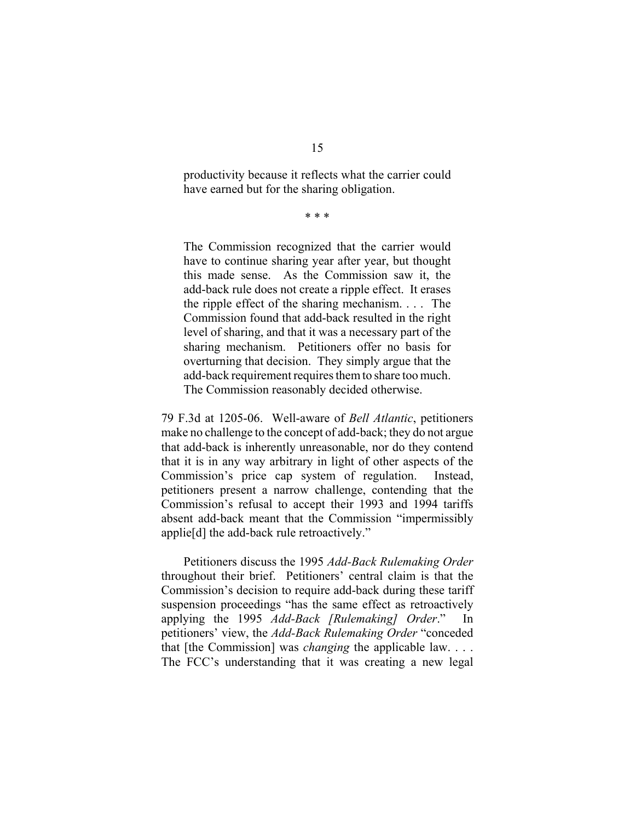productivity because it reflects what the carrier could have earned but for the sharing obligation.

\* \* \*

The Commission recognized that the carrier would have to continue sharing year after year, but thought this made sense. As the Commission saw it, the add-back rule does not create a ripple effect. It erases the ripple effect of the sharing mechanism. . . . The Commission found that add-back resulted in the right level of sharing, and that it was a necessary part of the sharing mechanism. Petitioners offer no basis for overturning that decision. They simply argue that the add-back requirement requires them to share too much. The Commission reasonably decided otherwise.

79 F.3d at 1205-06. Well-aware of *Bell Atlantic*, petitioners make no challenge to the concept of add-back; they do not argue that add-back is inherently unreasonable, nor do they contend that it is in any way arbitrary in light of other aspects of the Commission's price cap system of regulation. Instead, petitioners present a narrow challenge, contending that the Commission's refusal to accept their 1993 and 1994 tariffs absent add-back meant that the Commission "impermissibly applie[d] the add-back rule retroactively."

Petitioners discuss the 1995 *Add-Back Rulemaking Order* throughout their brief. Petitioners' central claim is that the Commission's decision to require add-back during these tariff suspension proceedings "has the same effect as retroactively applying the 1995 *Add-Back [Rulemaking] Order*." In petitioners' view, the *Add-Back Rulemaking Order* "conceded that [the Commission] was *changing* the applicable law. . . . The FCC's understanding that it was creating a new legal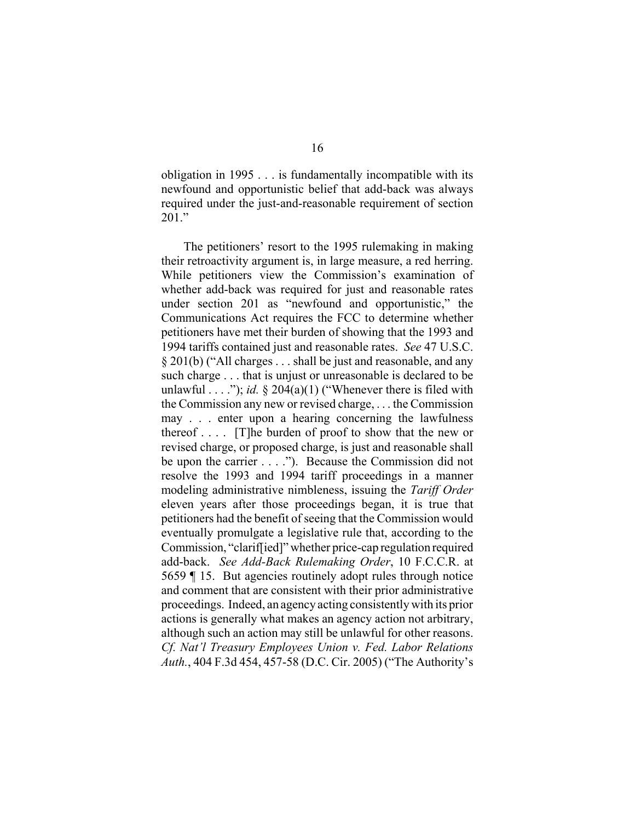obligation in 1995 . . . is fundamentally incompatible with its newfound and opportunistic belief that add-back was always required under the just-and-reasonable requirement of section 201."

The petitioners' resort to the 1995 rulemaking in making their retroactivity argument is, in large measure, a red herring. While petitioners view the Commission's examination of whether add-back was required for just and reasonable rates under section 201 as "newfound and opportunistic," the Communications Act requires the FCC to determine whether petitioners have met their burden of showing that the 1993 and 1994 tariffs contained just and reasonable rates. *See* 47 U.S.C. § 201(b) ("All charges . . . shall be just and reasonable, and any such charge . . . that is unjust or unreasonable is declared to be unlawful  $\dots$  "); *id.* § 204(a)(1) ("Whenever there is filed with the Commission any new or revised charge, . . . the Commission may . . . enter upon a hearing concerning the lawfulness thereof . . . . [T]he burden of proof to show that the new or revised charge, or proposed charge, is just and reasonable shall be upon the carrier . . . ."). Because the Commission did not resolve the 1993 and 1994 tariff proceedings in a manner modeling administrative nimbleness, issuing the *Tariff Order* eleven years after those proceedings began, it is true that petitioners had the benefit of seeing that the Commission would eventually promulgate a legislative rule that, according to the Commission, "clarif[ied]" whether price-cap regulation required add-back. *See Add-Back Rulemaking Order*, 10 F.C.C.R. at 5659 ¶ 15. But agencies routinely adopt rules through notice and comment that are consistent with their prior administrative proceedings. Indeed, an agency acting consistently with its prior actions is generally what makes an agency action not arbitrary, although such an action may still be unlawful for other reasons. *Cf. Nat'l Treasury Employees Union v. Fed. Labor Relations Auth.*, 404 F.3d 454, 457-58 (D.C. Cir. 2005) ("The Authority's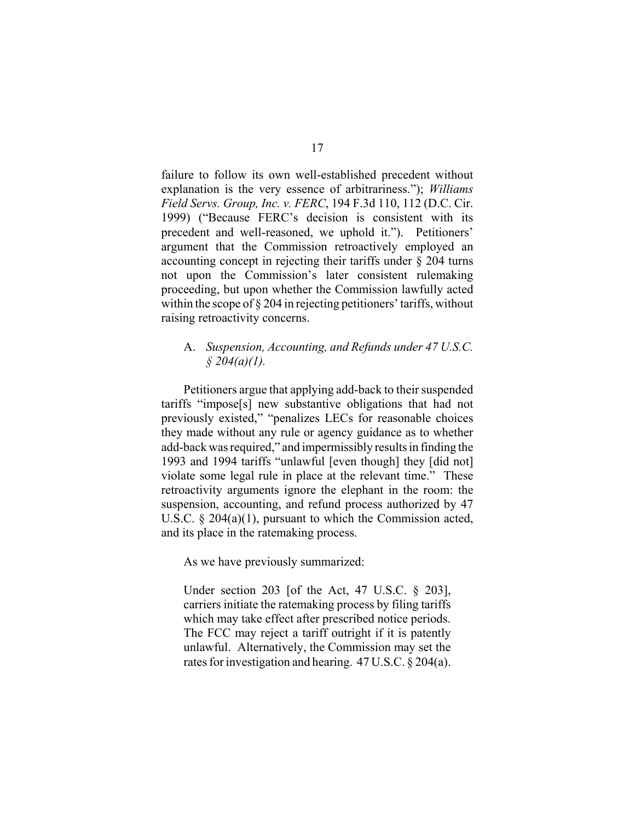failure to follow its own well-established precedent without explanation is the very essence of arbitrariness."); *Williams Field Servs. Group, Inc. v. FERC*, 194 F.3d 110, 112 (D.C. Cir. 1999) ("Because FERC's decision is consistent with its precedent and well-reasoned, we uphold it."). Petitioners' argument that the Commission retroactively employed an accounting concept in rejecting their tariffs under § 204 turns not upon the Commission's later consistent rulemaking proceeding, but upon whether the Commission lawfully acted within the scope of  $\S 204$  in rejecting petitioners' tariffs, without raising retroactivity concerns.

## A. *Suspension, Accounting, and Refunds under 47 U.S.C. § 204(a)(1).*

Petitioners argue that applying add-back to their suspended tariffs "impose[s] new substantive obligations that had not previously existed," "penalizes LECs for reasonable choices they made without any rule or agency guidance as to whether add-back was required," and impermissibly results in finding the 1993 and 1994 tariffs "unlawful [even though] they [did not] violate some legal rule in place at the relevant time." These retroactivity arguments ignore the elephant in the room: the suspension, accounting, and refund process authorized by 47 U.S.C. § 204(a)(1), pursuant to which the Commission acted, and its place in the ratemaking process.

As we have previously summarized:

Under section 203 [of the Act, 47 U.S.C. § 203], carriers initiate the ratemaking process by filing tariffs which may take effect after prescribed notice periods. The FCC may reject a tariff outright if it is patently unlawful. Alternatively, the Commission may set the rates for investigation and hearing. 47 U.S.C. § 204(a).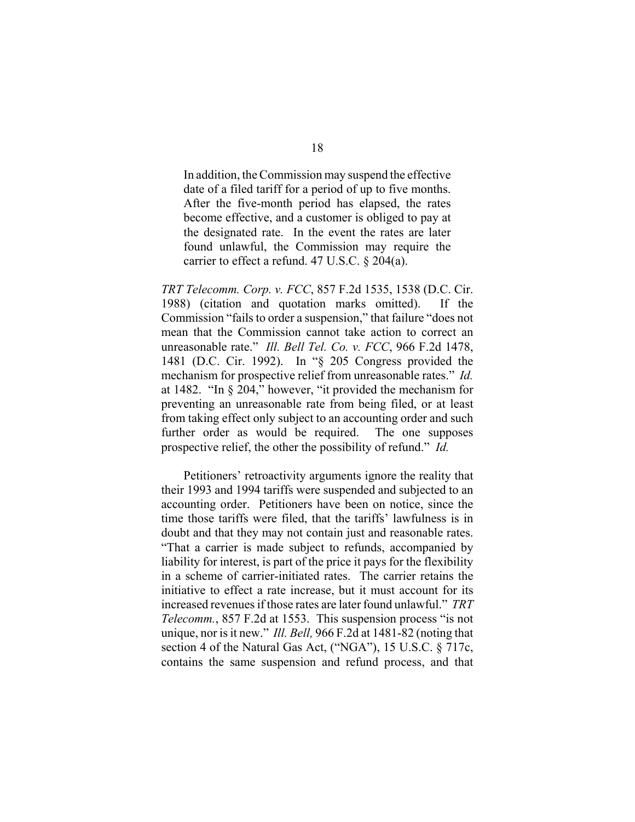In addition, the Commission may suspend the effective date of a filed tariff for a period of up to five months. After the five-month period has elapsed, the rates become effective, and a customer is obliged to pay at the designated rate. In the event the rates are later found unlawful, the Commission may require the carrier to effect a refund. 47 U.S.C. § 204(a).

*TRT Telecomm. Corp. v. FCC*, 857 F.2d 1535, 1538 (D.C. Cir. 1988) (citation and quotation marks omitted). If the Commission "fails to order a suspension," that failure "does not mean that the Commission cannot take action to correct an unreasonable rate." *Ill. Bell Tel. Co. v. FCC*, 966 F.2d 1478, 1481 (D.C. Cir. 1992). In "§ 205 Congress provided the mechanism for prospective relief from unreasonable rates." *Id.* at 1482. "In § 204," however, "it provided the mechanism for preventing an unreasonable rate from being filed, or at least from taking effect only subject to an accounting order and such further order as would be required. The one supposes prospective relief, the other the possibility of refund." *Id.*

Petitioners' retroactivity arguments ignore the reality that their 1993 and 1994 tariffs were suspended and subjected to an accounting order. Petitioners have been on notice, since the time those tariffs were filed, that the tariffs' lawfulness is in doubt and that they may not contain just and reasonable rates. "That a carrier is made subject to refunds, accompanied by liability for interest, is part of the price it pays for the flexibility in a scheme of carrier-initiated rates. The carrier retains the initiative to effect a rate increase, but it must account for its increased revenues if those rates are later found unlawful." *TRT Telecomm.*, 857 F.2d at 1553. This suspension process "is not unique, nor is it new." *Ill. Bell,* 966 F.2d at 1481-82 (noting that section 4 of the Natural Gas Act, ("NGA"), 15 U.S.C. § 717c, contains the same suspension and refund process, and that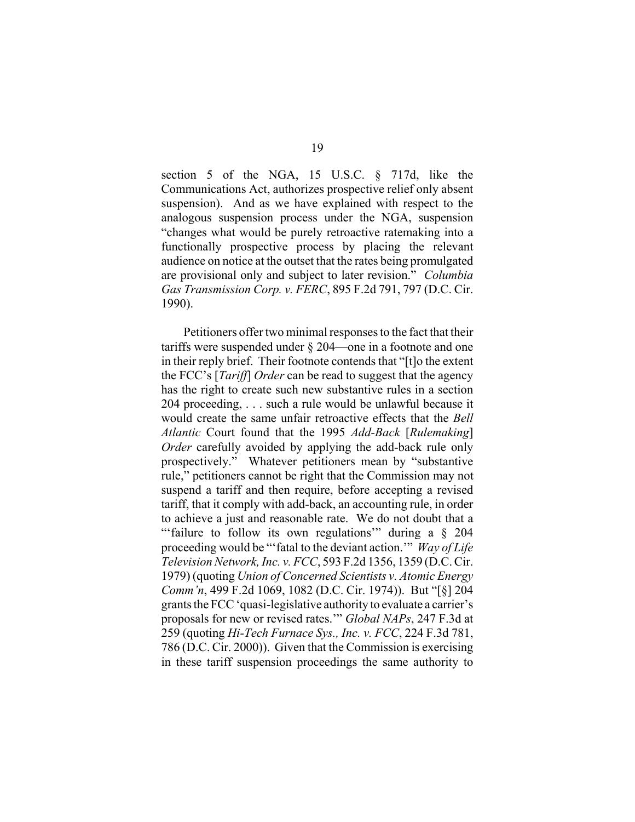section 5 of the NGA, 15 U.S.C. § 717d, like the Communications Act, authorizes prospective relief only absent suspension). And as we have explained with respect to the analogous suspension process under the NGA, suspension "changes what would be purely retroactive ratemaking into a functionally prospective process by placing the relevant audience on notice at the outset that the rates being promulgated are provisional only and subject to later revision." *Columbia Gas Transmission Corp. v. FERC*, 895 F.2d 791, 797 (D.C. Cir. 1990).

Petitioners offer two minimal responses to the fact that their tariffs were suspended under § 204—one in a footnote and one in their reply brief. Their footnote contends that "[t]o the extent the FCC's [*Tariff*] *Order* can be read to suggest that the agency has the right to create such new substantive rules in a section 204 proceeding, . . . such a rule would be unlawful because it would create the same unfair retroactive effects that the *Bell Atlantic* Court found that the 1995 *Add-Back* [*Rulemaking*] *Order* carefully avoided by applying the add-back rule only prospectively." Whatever petitioners mean by "substantive rule," petitioners cannot be right that the Commission may not suspend a tariff and then require, before accepting a revised tariff, that it comply with add-back, an accounting rule, in order to achieve a just and reasonable rate. We do not doubt that a "'failure to follow its own regulations" during a  $\S$  204 proceeding would be "'fatal to the deviant action.'" *Way of Life Television Network, Inc. v. FCC*, 593 F.2d 1356, 1359 (D.C. Cir. 1979) (quoting *Union of Concerned Scientists v. Atomic Energy Comm'n*, 499 F.2d 1069, 1082 (D.C. Cir. 1974)). But "[§] 204 grants the FCC 'quasi-legislative authority to evaluate a carrier's proposals for new or revised rates.'" *Global NAPs*, 247 F.3d at 259 (quoting *Hi-Tech Furnace Sys., Inc. v. FCC*, 224 F.3d 781, 786 (D.C. Cir. 2000)). Given that the Commission is exercising in these tariff suspension proceedings the same authority to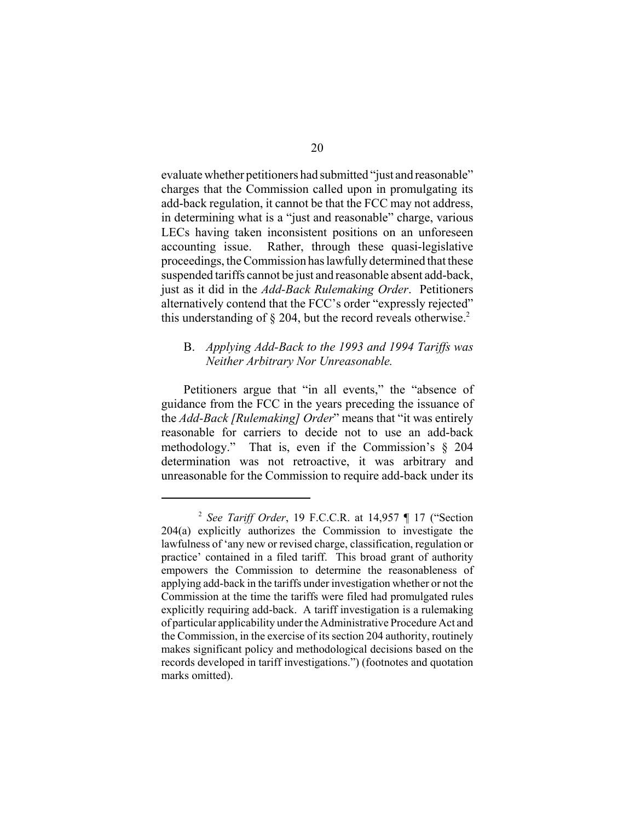evaluate whether petitioners had submitted "just and reasonable" charges that the Commission called upon in promulgating its add-back regulation, it cannot be that the FCC may not address, in determining what is a "just and reasonable" charge, various LECs having taken inconsistent positions on an unforeseen accounting issue. Rather, through these quasi-legislative proceedings, the Commission has lawfully determined that these suspended tariffs cannot be just and reasonable absent add-back, just as it did in the *Add-Back Rulemaking Order*. Petitioners alternatively contend that the FCC's order "expressly rejected" this understanding of  $\S$  204, but the record reveals otherwise.<sup>2</sup>

# B. *Applying Add-Back to the 1993 and 1994 Tariffs was Neither Arbitrary Nor Unreasonable.*

Petitioners argue that "in all events," the "absence of guidance from the FCC in the years preceding the issuance of the *Add-Back [Rulemaking] Order*" means that "it was entirely reasonable for carriers to decide not to use an add-back methodology." That is, even if the Commission's § 204 determination was not retroactive, it was arbitrary and unreasonable for the Commission to require add-back under its

<sup>2</sup> *See Tariff Order*, 19 F.C.C.R. at 14,957 ¶ 17 ("Section 204(a) explicitly authorizes the Commission to investigate the lawfulness of 'any new or revised charge, classification, regulation or practice' contained in a filed tariff. This broad grant of authority empowers the Commission to determine the reasonableness of applying add-back in the tariffs under investigation whether or not the Commission at the time the tariffs were filed had promulgated rules explicitly requiring add-back. A tariff investigation is a rulemaking of particular applicability under the Administrative Procedure Act and the Commission, in the exercise of its section 204 authority, routinely makes significant policy and methodological decisions based on the records developed in tariff investigations.") (footnotes and quotation marks omitted).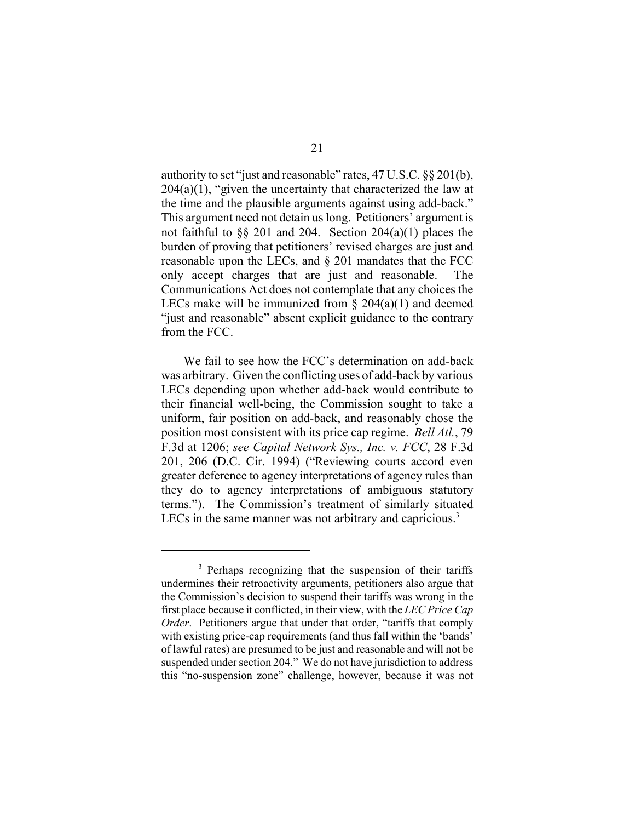authority to set "just and reasonable" rates, 47 U.S.C. §§ 201(b),  $204(a)(1)$ , "given the uncertainty that characterized the law at the time and the plausible arguments against using add-back." This argument need not detain us long. Petitioners' argument is not faithful to  $\S$ § 201 and 204. Section 204(a)(1) places the burden of proving that petitioners' revised charges are just and reasonable upon the LECs, and § 201 mandates that the FCC only accept charges that are just and reasonable. The Communications Act does not contemplate that any choices the LECs make will be immunized from  $\S$  204(a)(1) and deemed "just and reasonable" absent explicit guidance to the contrary from the FCC.

We fail to see how the FCC's determination on add-back was arbitrary. Given the conflicting uses of add-back by various LECs depending upon whether add-back would contribute to their financial well-being, the Commission sought to take a uniform, fair position on add-back, and reasonably chose the position most consistent with its price cap regime. *Bell Atl.*, 79 F.3d at 1206; *see Capital Network Sys., Inc. v. FCC*, 28 F.3d 201, 206 (D.C. Cir. 1994) ("Reviewing courts accord even greater deference to agency interpretations of agency rules than they do to agency interpretations of ambiguous statutory terms."). The Commission's treatment of similarly situated LECs in the same manner was not arbitrary and capricious. $3$ 

<sup>&</sup>lt;sup>3</sup> Perhaps recognizing that the suspension of their tariffs undermines their retroactivity arguments, petitioners also argue that the Commission's decision to suspend their tariffs was wrong in the first place because it conflicted, in their view, with the *LEC Price Cap Order.* Petitioners argue that under that order, "tariffs that comply with existing price-cap requirements (and thus fall within the 'bands' of lawful rates) are presumed to be just and reasonable and will not be suspended under section 204." We do not have jurisdiction to address this "no-suspension zone" challenge, however, because it was not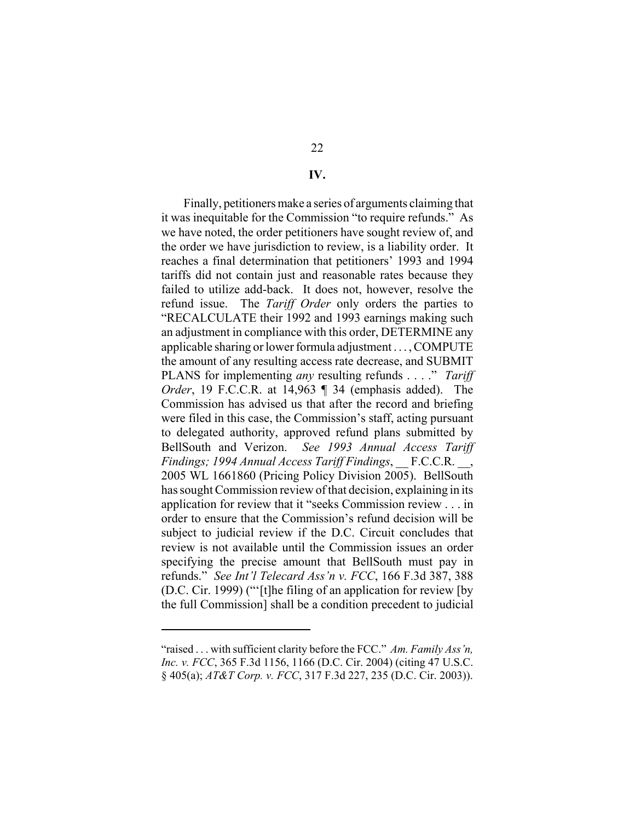#### **IV.**

Finally, petitioners make a series of arguments claiming that it was inequitable for the Commission "to require refunds." As we have noted, the order petitioners have sought review of, and the order we have jurisdiction to review, is a liability order. It reaches a final determination that petitioners' 1993 and 1994 tariffs did not contain just and reasonable rates because they failed to utilize add-back. It does not, however, resolve the refund issue. The *Tariff Order* only orders the parties to "RECALCULATE their 1992 and 1993 earnings making such an adjustment in compliance with this order, DETERMINE any applicable sharing or lower formula adjustment . . . , COMPUTE the amount of any resulting access rate decrease, and SUBMIT PLANS for implementing *any* resulting refunds . . . ." *Tariff Order*, 19 F.C.C.R. at 14,963 ¶ 34 (emphasis added). The Commission has advised us that after the record and briefing were filed in this case, the Commission's staff, acting pursuant to delegated authority, approved refund plans submitted by BellSouth and Verizon. *See 1993 Annual Access Tariff Findings; 1994 Annual Access Tariff Findings*, \_\_ F.C.C.R. \_\_, 2005 WL 1661860 (Pricing Policy Division 2005). BellSouth has sought Commission review of that decision, explaining in its application for review that it "seeks Commission review . . . in order to ensure that the Commission's refund decision will be subject to judicial review if the D.C. Circuit concludes that review is not available until the Commission issues an order specifying the precise amount that BellSouth must pay in refunds." *See Int'l Telecard Ass'n v. FCC*, 166 F.3d 387, 388 (D.C. Cir. 1999) ("'[t]he filing of an application for review [by the full Commission] shall be a condition precedent to judicial

<sup>&</sup>quot;raised . . . with sufficient clarity before the FCC." *Am. Family Ass'n, Inc. v. FCC*, 365 F.3d 1156, 1166 (D.C. Cir. 2004) (citing 47 U.S.C. § 405(a); *AT&T Corp. v. FCC*, 317 F.3d 227, 235 (D.C. Cir. 2003)).